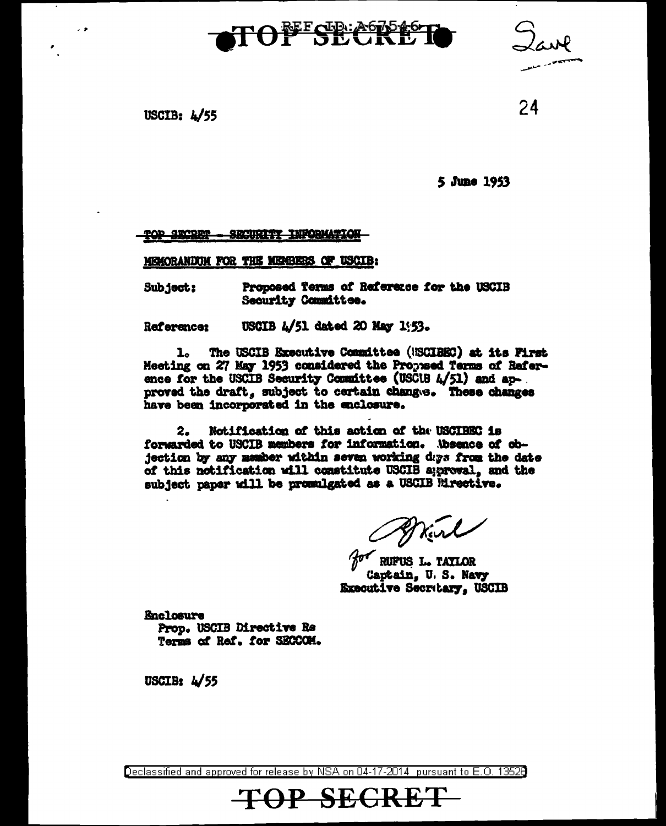# TOFFSECTE



USCIB:  $4/55$ 

 $\sim$   $\bullet$ 

24

5 June 1953

#### TOP SECRET **SECURITY INFORMATION**

MICHORANDUM FOR THE MEMBERS OF USCIB:

Subject: Proposed Terms of Reference for the USCIB **Security Committee.** 

USCIB 4/51 dated 20 May 1:53. Reference:

The USCIB Executive Committee (USCIBEC) at its First ı. Meeting on 27 May 1953 considered the Proposed Terms of Raference for the USCIB Security Committee (USCUB  $4/51$ ) and approved the draft, subject to certain changes. These changes have been incorporated in the enclosure.

 $2.$ Notification of this action of the USCIBEC is forwarded to USCIB members for information. Absence of objection by any member within seven working days from the date of this notification will constitute USCIB aggregal, and the subject paper will be promulgated as a USCIB Mirective.

Wind

for RUPUS L. TAYLOR Captain. U.S. Navy Executive Secretary. USCIB

**Enclosure** Prop. USCIB Directive Re Terms of Ref. for SECCOM.

USCIB:  $\frac{1}{55}$ 

Declassified and approved for release by NSA on 04-17-2014 pursuant to E.O. 13520

TOP SECRET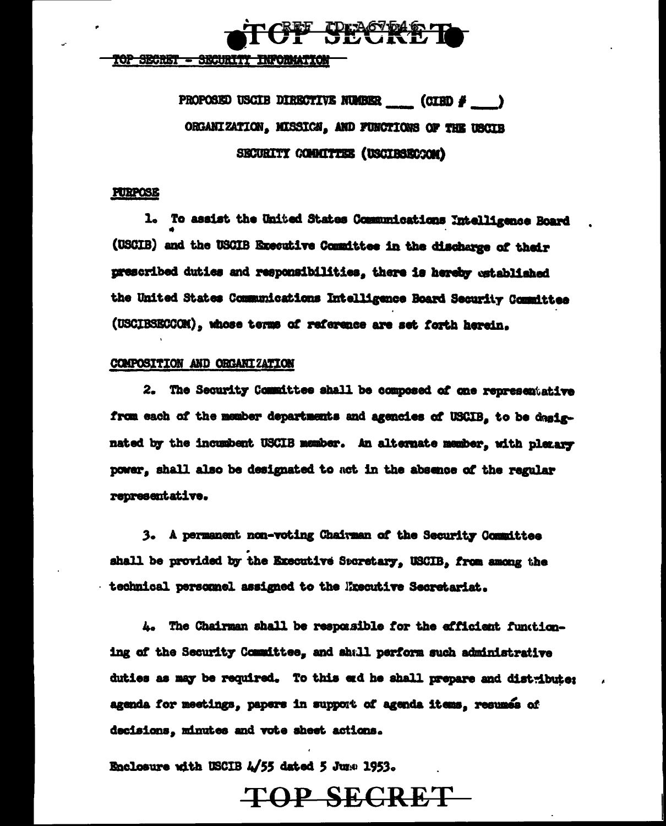

top secret - security information

PROPOSED USCIB DIRECTIVE NUMBER (CIRD # ) ORGANIZATION, MISSICH, AND FUNCTIONS OF THE USCIE SECURITY COMMITTEE (USCIBSECCON)

### **FURPOSE**

1. To assist the United States Communications Intelligence Board (USCIB) and the USCIB Executive Committee in the discharge of their nrescribed duties and responsibilities. there is hereby established the United States Communications Intelligence Board Security Committee (USCIBSECCOM), whose terms of reference are set forth herein.

### COMPOSITION AND ORGANIZATION

2. The Security Committee shall be composed of one representative from each of the member departments and agencies of USCIB, to be dasignated by the incumbent USCIB member. An alternate member, with pleaser power, shall also be designated to act in the absence of the regular representative.

3. A permanent non-voting Chairman of the Security Committee shall be provided by the Executive Sporetary. USCIB. from among the technical personnel assigned to the Executive Secretariat.

4. The Chairman shall be responsible for the efficient functioning of the Security Committee. and shall perform such administrative duties as may be required. To this end he shall prepare and distribute: agenda for meetings, papers in support of agenda items, resumes of decisions, minutes and vote sheet actions.

Enclosure with USCIB 4/55 dated 5 June 1953.

TOP SECRET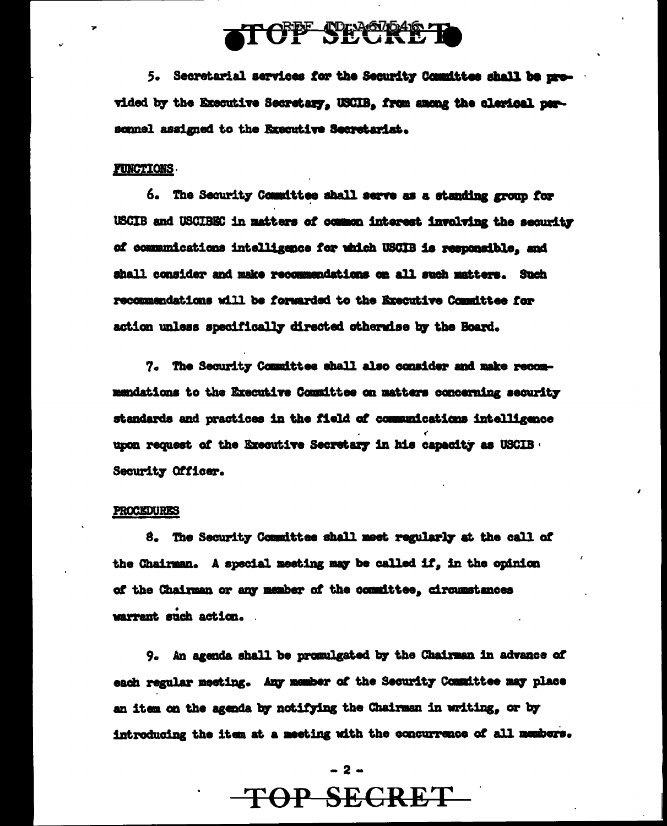## **ATOPF SECREET**

5. Secretarial services for the Security Committee shall be provided by the Executive Secretary, USCIB, from among the clarical personnel assigned to the Executive Secretariat.

### **FUNCTIONS.**

6. The Security Committee shall serve as a standing group for USCIB and USCIBEC in matters of common interest involving the security of communications intelligence for which USCIB is responsible, and shall consider and make recommendations on all such matters. Such recommendations will be forwarded to the Executive Committee for action unless specifically directed otherwise by the Board.

7. The Security Committee shall also consider and make recommendations to the Executive Committee on matters concerning security standards and practices in the field of communications intelligence upon request of the Executive Secretary in his capacity as USCIB. Security Officer.

#### PROCEDURES

8. The Security Committee shall meet regularly at the call of the Chairman. A special meeting may be called if, in the opinion of the Chairman or any member of the committee, circumstances warrant such action.

9. An agenda shall be promulgated by the Chairman in advance of each regular meeting. Any member of the Security Committee may place an item on the agenda by notifying the Chairman in writing, or by introducing the item at a meeting with the concurrence of all members.

### $-2-$

## TOP SECRET